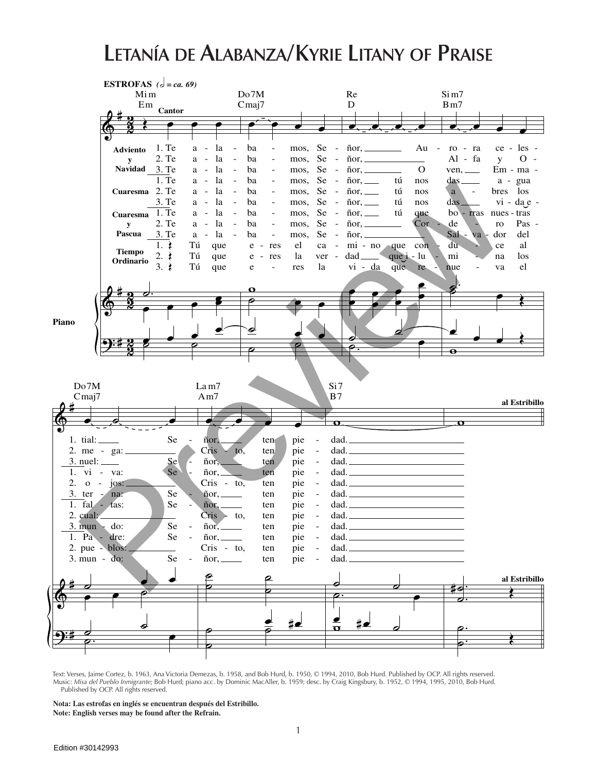## **Letanía de Alabanza/Kyrie Litany of Praise**



Text: Verses, Jaime Cortez, b. 1963, Ana Victoria Demezas, b. 1958, and Bob Hurd, b. 1950, © 1994, 2010, Bob Hurd. Published by OCP. All rights reserved. Music: *Misa del Pueblo Inmigrante*; Bob Hurd; piano acc. by Dominic MacAller, b. 1959; desc. by Craig Kingsbury, b. 1952, © 1994, 1995, 2010, Bob Hurd. Published by OCP. All rights reserved.

**Nota: Las estrofas en inglés se encuentran después del Estribillo. Note: English verses may be found after the Refrain.**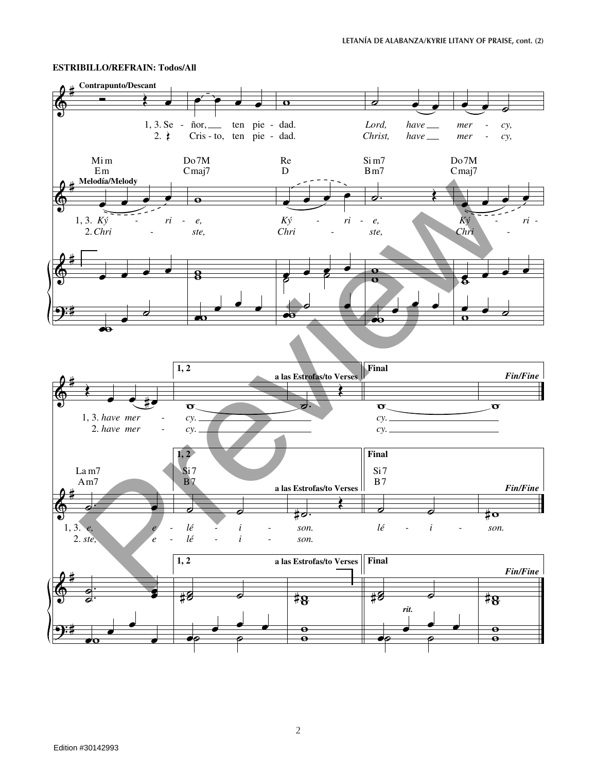## **ESTRIBILLO/REFRAIN: Todos/All**